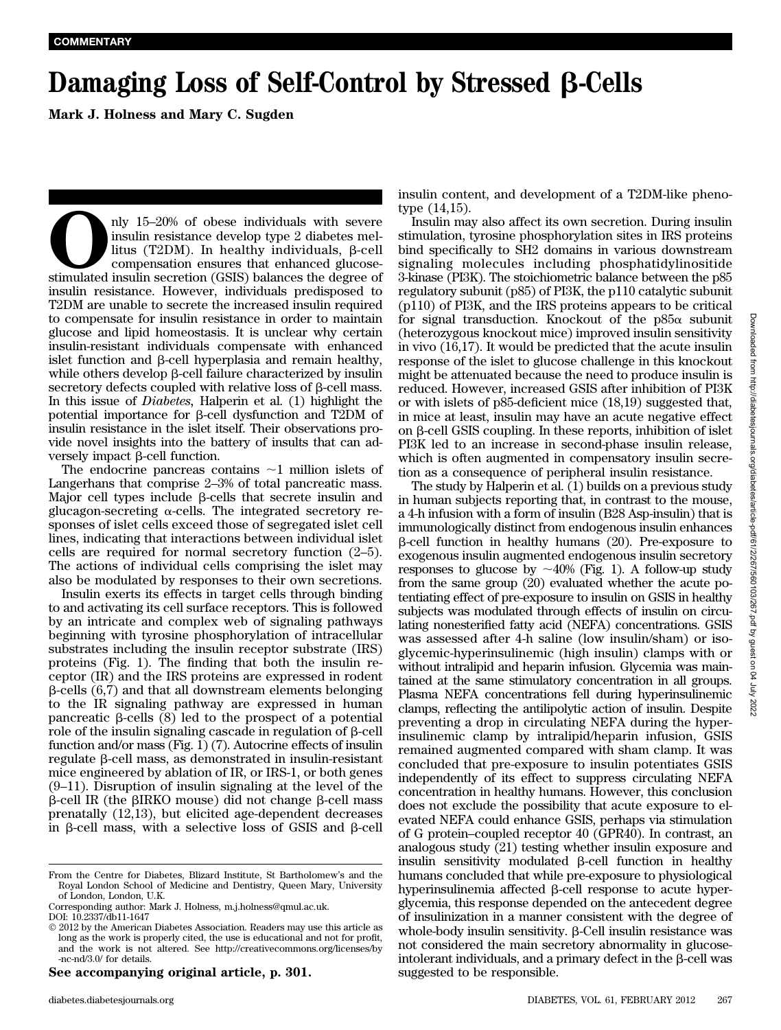## Damaging Loss of Self-Control by Stressed  $\beta$ -Cells

Mark J. Holness and Mary C. Sugden

nly 15–20% of obese individuals with severe insulin resistance develop type 2 diabetes mellitus (T2DM). In healthy individuals,  $\beta$ -cell compensation ensures that enhanced glucose-stimulated insulin secretion (GSIS) bala insulin resistance develop type 2 diabetes mellitus (T2DM). In healthy individuals,  $\beta$ -cell compensation ensures that enhanced glucoseinsulin resistance. However, individuals predisposed to T2DM are unable to secrete the increased insulin required to compensate for insulin resistance in order to maintain glucose and lipid homeostasis. It is unclear why certain insulin-resistant individuals compensate with enhanced islet function and  $\beta$ -cell hyperplasia and remain healthy, while others develop  $\beta$ -cell failure characterized by insulin secretory defects coupled with relative loss of  $\beta$ -cell mass. In this issue of Diabetes, Halperin et al. (1) highlight the potential importance for b-cell dysfunction and T2DM of insulin resistance in the islet itself. Their observations provide novel insights into the battery of insults that can adversely impact  $\beta$ -cell function.

The endocrine pancreas contains  $\sim$ 1 million islets of Langerhans that comprise 2–3% of total pancreatic mass. Major cell types include  $\beta$ -cells that secrete insulin and glucagon-secreting  $\alpha$ -cells. The integrated secretory responses of islet cells exceed those of segregated islet cell lines, indicating that interactions between individual islet cells are required for normal secretory function (2–5). The actions of individual cells comprising the islet may also be modulated by responses to their own secretions.

Insulin exerts its effects in target cells through binding to and activating its cell surface receptors. This is followed by an intricate and complex web of signaling pathways beginning with tyrosine phosphorylation of intracellular substrates including the insulin receptor substrate (IRS) proteins (Fig. 1). The finding that both the insulin receptor (IR) and the IRS proteins are expressed in rodent  $\beta$ -cells (6,7) and that all downstream elements belonging to the IR signaling pathway are expressed in human pancreatic  $\beta$ -cells  $(8)$  led to the prospect of a potential role of the insulin signaling cascade in regulation of  $\beta$ -cell function and/or mass (Fig. 1) (7). Autocrine effects of insulin  $regulate \beta-cell mass, as demonstrated in insulin-resistant$ mice engineered by ablation of IR, or IRS-1, or both genes (9–11). Disruption of insulin signaling at the level of the  $\beta$ -cell IR (the  $\beta$ IRKO mouse) did not change  $\beta$ -cell mass prenatally (12,13), but elicited age-dependent decreases in b-cell mass, with a selective loss of GSIS and b-cell

See accompanying original article, p. 301.

insulin content, and development of a T2DM-like phenotype (14,15).

Insulin may also affect its own secretion. During insulin stimulation, tyrosine phosphorylation sites in IRS proteins bind specifically to SH2 domains in various downstream signaling molecules including phosphatidylinositide 3-kinase (PI3K). The stoichiometric balance between the p85 regulatory subunit (p85) of PI3K, the p110 catalytic subunit (p110) of PI3K, and the IRS proteins appears to be critical for signal transduction. Knockout of the  $p85\alpha$  subunit (heterozygous knockout mice) improved insulin sensitivity in vivo (16,17). It would be predicted that the acute insulin response of the islet to glucose challenge in this knockout might be attenuated because the need to produce insulin is reduced. However, increased GSIS after inhibition of PI3K or with islets of p85-deficient mice (18,19) suggested that, in mice at least, insulin may have an acute negative effect on b-cell GSIS coupling. In these reports, inhibition of islet PI3K led to an increase in second-phase insulin release, which is often augmented in compensatory insulin secretion as a consequence of peripheral insulin resistance.

The study by Halperin et al. (1) builds on a previous study in human subjects reporting that, in contrast to the mouse, a 4-h infusion with a form of insulin (B28 Asp-insulin) that is immunologically distinct from endogenous insulin enhances  $\beta$ -cell function in healthy humans (20). Pre-exposure to exogenous insulin augmented endogenous insulin secretory responses to glucose by  $\sim$ 40% (Fig. 1). A follow-up study from the same group (20) evaluated whether the acute potentiating effect of pre-exposure to insulin on GSIS in healthy subjects was modulated through effects of insulin on circulating nonesterified fatty acid (NEFA) concentrations. GSIS was assessed after 4-h saline (low insulin/sham) or isoglycemic-hyperinsulinemic (high insulin) clamps with or without intralipid and heparin infusion. Glycemia was maintained at the same stimulatory concentration in all groups. Plasma NEFA concentrations fell during hyperinsulinemic clamps, reflecting the antilipolytic action of insulin. Despite preventing a drop in circulating NEFA during the hyperinsulinemic clamp by intralipid/heparin infusion, GSIS remained augmented compared with sham clamp. It was concluded that pre-exposure to insulin potentiates GSIS independently of its effect to suppress circulating NEFA concentration in healthy humans. However, this conclusion does not exclude the possibility that acute exposure to elevated NEFA could enhance GSIS, perhaps via stimulation of G protein–coupled receptor 40 (GPR40). In contrast, an analogous study (21) testing whether insulin exposure and insulin sensitivity modulated  $\beta$ -cell function in healthy humans concluded that while pre-exposure to physiological hyperinsulinemia affected  $\beta$ -cell response to acute hyperglycemia, this response depended on the antecedent degree of insulinization in a manner consistent with the degree of whole-body insulin sensitivity.  $\beta$ -Cell insulin resistance was not considered the main secretory abnormality in glucoseintolerant individuals, and a primary defect in the  $\beta$ -cell was suggested to be responsible.

From the Centre for Diabetes, Blizard Institute, St Bartholomew's and the Royal London School of Medicine and Dentistry, Queen Mary, University of London, London, U.K.

Corresponding author: Mark J. Holness, m.j.holness@qmul.ac.uk. DOI: 10.2337/db11-1647

2012 by the American Diabetes Association. Readers may use this article as long as the work is properly cited, the use is educational and not for profit, and the work is not altered. See http://creativecommons.org/licenses/by -nc-nd/3.0/ for details.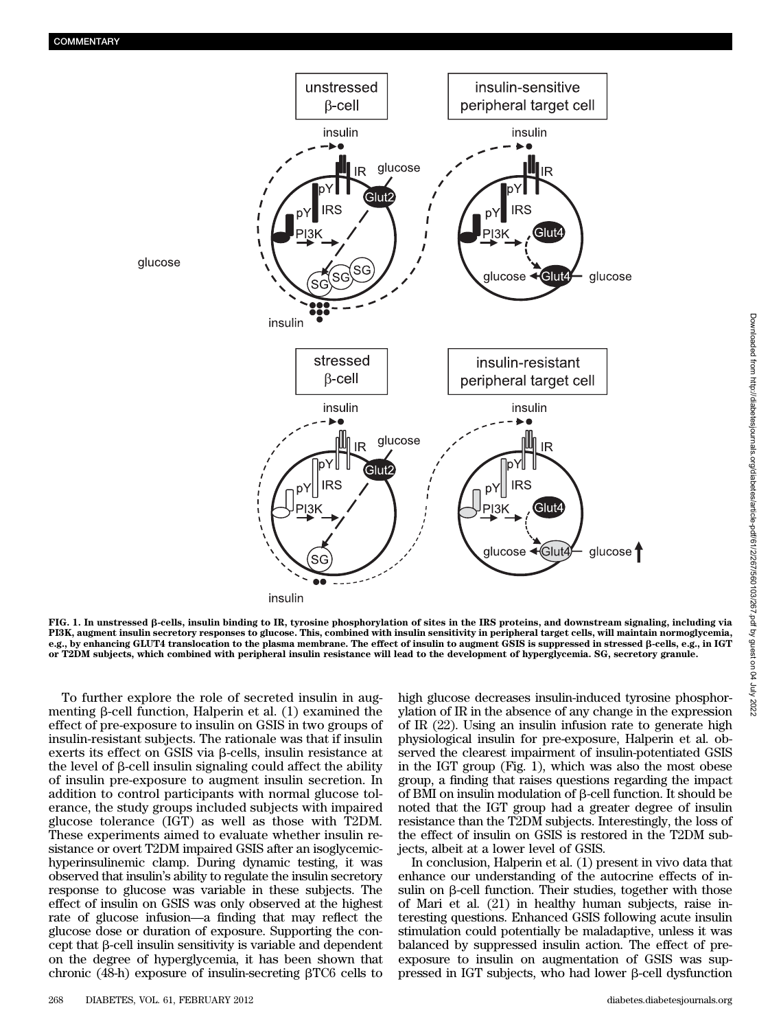

FIG. 1. In unstressed b-cells, insulin binding to IR, tyrosine phosphorylation of sites in the IRS proteins, and downstream signaling, including via PI3K, augment insulin secretory responses to glucose. This, combined with insulin sensitivity in peripheral target cells, will maintain normoglycemia, e.g., by enhancing GLUT4 translocation to the plasma membrane. The effect of insulin to augment GSIS is suppressed in stressed b-cells, e.g., in IGT or T2DM subjects, which combined with peripheral insulin resistance will lead to the development of hyperglycemia. SG, secretory granule.

To further explore the role of secreted insulin in augmenting  $\beta$ -cell function, Halperin et al. (1) examined the effect of pre-exposure to insulin on GSIS in two groups of insulin-resistant subjects. The rationale was that if insulin exerts its effect on GSIS via  $\beta$ -cells, insulin resistance at the level of  $\beta$ -cell insulin signaling could affect the ability of insulin pre-exposure to augment insulin secretion. In addition to control participants with normal glucose tolerance, the study groups included subjects with impaired glucose tolerance (IGT) as well as those with T2DM. These experiments aimed to evaluate whether insulin resistance or overt T2DM impaired GSIS after an isoglycemichyperinsulinemic clamp. During dynamic testing, it was observed that insulin's ability to regulate the insulin secretory response to glucose was variable in these subjects. The effect of insulin on GSIS was only observed at the highest rate of glucose infusion—a finding that may reflect the glucose dose or duration of exposure. Supporting the con- $\chi$  cept that  $\beta$ -cell insulin sensitivity is variable and dependent on the degree of hyperglycemia, it has been shown that chronic (48-h) exposure of insulin-secreting  $\beta T C6$  cells to

high glucose decreases insulin-induced tyrosine phosphorylation of IR in the absence of any change in the expression of IR (22). Using an insulin infusion rate to generate high physiological insulin for pre-exposure, Halperin et al. observed the clearest impairment of insulin-potentiated GSIS in the IGT group (Fig. 1), which was also the most obese group, a finding that raises questions regarding the impact of  $\overline{BM}$  on insulin modulation of  $\beta$ -cell function. It should be noted that the IGT group had a greater degree of insulin resistance than the T2DM subjects. Interestingly, the loss of the effect of insulin on GSIS is restored in the T2DM subjects, albeit at a lower level of GSIS.

In conclusion, Halperin et al. (1) present in vivo data that enhance our understanding of the autocrine effects of insulin on  $\beta$ -cell function. Their studies, together with those of Mari et al. (21) in healthy human subjects, raise interesting questions. Enhanced GSIS following acute insulin stimulation could potentially be maladaptive, unless it was balanced by suppressed insulin action. The effect of preexposure to insulin on augmentation of GSIS was suppressed in IGT subjects, who had lower  $\beta$ -cell dysfunction